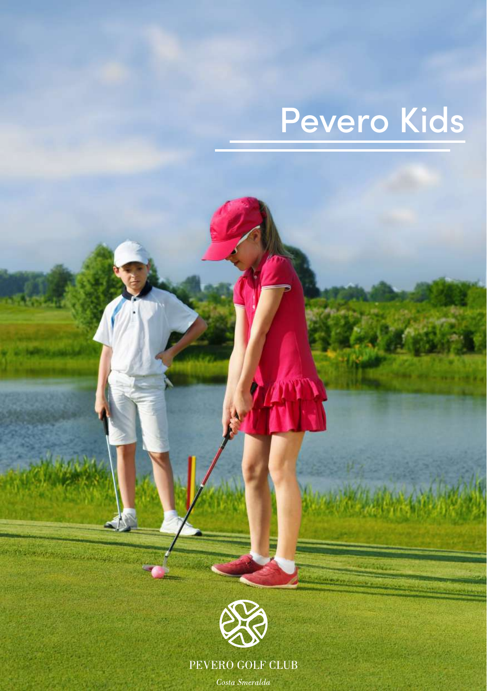# Pevero Kids



PEVERO GOLF CLUB

 $\mathit{Costa}$  Smeralda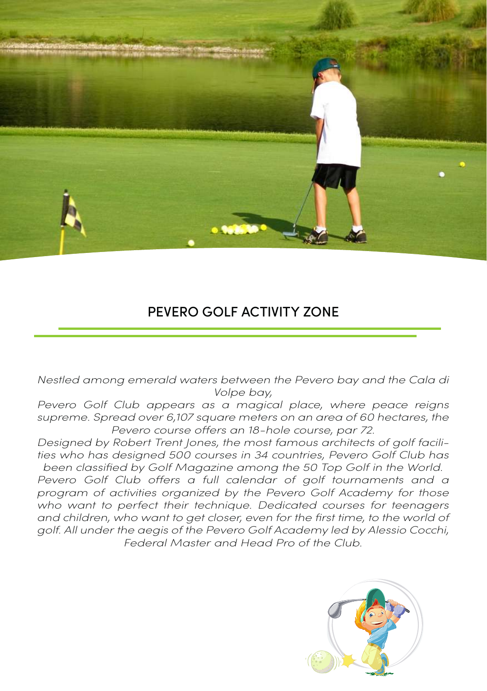

## PEVERO GOLF ACTIVITY ZONE

*Nestled among emerald waters between the Pevero bay and the Cala di Volpe bay,*

*Pevero Golf Club appears as a magical place, where peace reigns supreme. Spread over 6,107 square meters on an area of 60 hectares, the Pevero course offers an 18-hole course, par 72.* 

*Designed by Robert Trent Jones, the most famous architects of golf facilities who has designed 500 courses in 34 countries, Pevero Golf Club has been classified by Golf Magazine among the 50 Top Golf in the World.* 

Pevero Golf Club offers a full calendar of golf tournaments and a *program of activities organized by the Pevero Golf Academy for those who want to perfect their technique. Dedicated courses for teenagers*  and children, who want to get closer, even for the first time, to the world of *golf. All under the aegis of the Pevero Golf Academy led by Alessio Cocchi, Federal Master and Head Pro of the Club.*

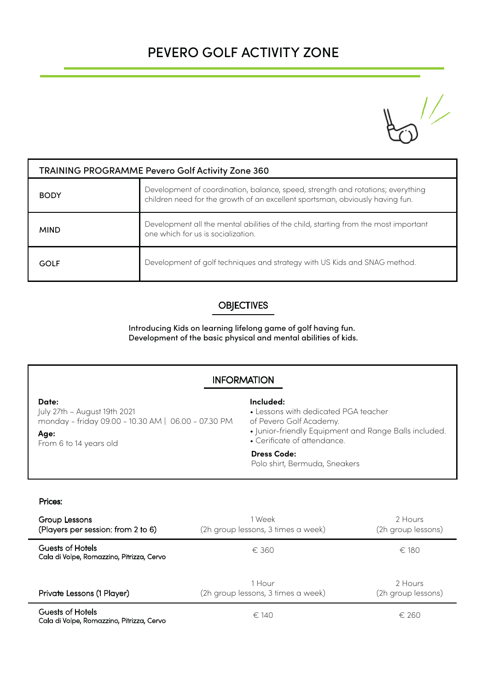# PEVERO GOLF ACTIVITY ZONE



| TRAINING PROGRAMME Pevero Golf Activity Zone 360 |                                                                                                                                                                  |  |  |
|--------------------------------------------------|------------------------------------------------------------------------------------------------------------------------------------------------------------------|--|--|
| <b>BODY</b>                                      | Development of coordination, balance, speed, strength and rotations; everything<br>children need for the growth of an excellent sportsman, obviously having fun. |  |  |
| <b>MIND</b>                                      | Development all the mental abilities of the child, starting from the most important<br>one which for us is socialization.                                        |  |  |
| GOLF                                             | Development of golf techniques and strategy with US Kids and SNAG method.                                                                                        |  |  |

### **OBJECTIVES**

Introducing Kids on learning lifelong game of golf having fun. Development of the basic physical and mental abilities of kids.

## INFORMATION

**Date:**

July 27th – August 19th 2021 monday - friday 09.00 - 10.30 AM | 06.00 - 07.30 PM

#### **Age:**

From 6 to 14 years old

#### **Included:**

- Lessons with dedicated PGA teacher
- of Pevero Golf Academy.
- Junior-friendly Equipment and Range Balls included.
- Cerificate of attendance.

#### **Dress Code:**

Polo shirt, Bermuda, Sneakers

#### Prices:

| Group Lessons<br>(Players per session: from 2 to 6)           | 1 Week<br>(2h group lessons, 3 times a week) | 2 Hours<br>(2h group lessons) |
|---------------------------------------------------------------|----------------------------------------------|-------------------------------|
| Guests of Hotels<br>Cala di Volpe, Romazzino, Pitrizza, Cervo | $\epsilon$ 360                               | $\in$ 180                     |
| Private Lessons (1 Player)                                    | 1 Hour<br>(2h group lessons, 3 times a week) | 2 Hours<br>(2h group lessons) |
| Guests of Hotels                                              | $\epsilon$ 140                               | $f$ 260                       |

Guests of Hotels Cala di Volpe, Romazzino, Pitrizza, Cervo